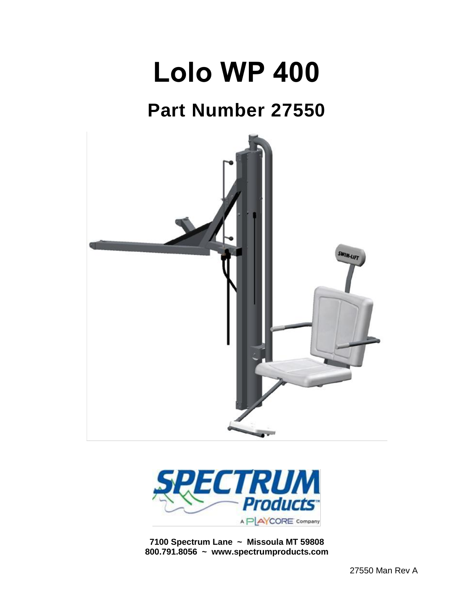# **Lolo WP 400**

# **Part Number 27550**





**7100 Spectrum Lane ~ Missoula MT 59808 800.791.8056 ~ www.spectrumproducts.com**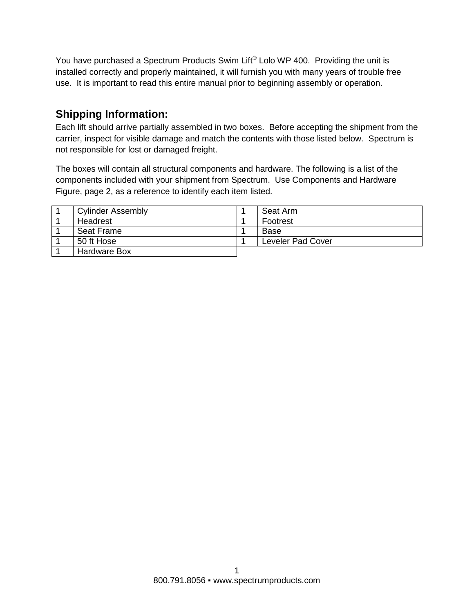You have purchased a Spectrum Products Swim Lift® Lolo WP 400. Providing the unit is installed correctly and properly maintained, it will furnish you with many years of trouble free use. It is important to read this entire manual prior to beginning assembly or operation.

# **Shipping Information:**

Each lift should arrive partially assembled in two boxes. Before accepting the shipment from the carrier, inspect for visible damage and match the contents with those listed below. Spectrum is not responsible for lost or damaged freight.

The boxes will contain all structural components and hardware. The following is a list of the components included with your shipment from Spectrum. Use Components and Hardware Figure, page 2, as a reference to identify each item listed.

| <b>Cylinder Assembly</b> | Seat Arm          |
|--------------------------|-------------------|
| Headrest                 | Footrest          |
| Seat Frame               | Base              |
| 50 ft Hose               | Leveler Pad Cover |
| <b>Hardware Box</b>      |                   |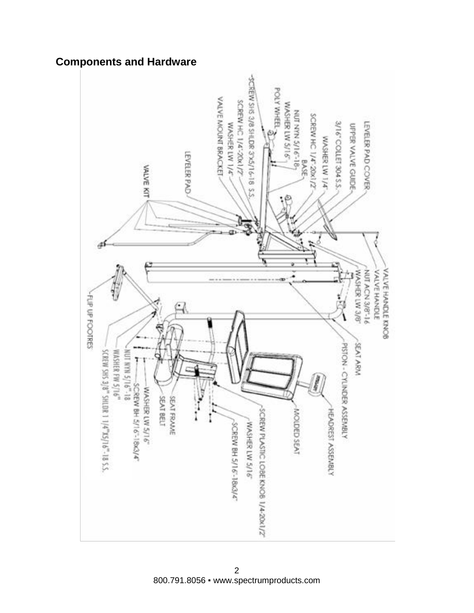# **Components and Hardware**

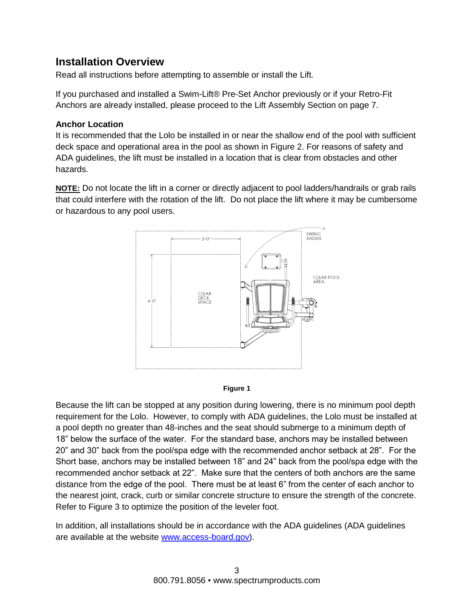## **Installation Overview**

Read all instructions before attempting to assemble or install the Lift.

If you purchased and installed a Swim-Lift® Pre-Set Anchor previously or if your Retro-Fit Anchors are already installed, please proceed to the Lift Assembly Section on page 7.

#### **Anchor Location**

It is recommended that the Lolo be installed in or near the shallow end of the pool with sufficient deck space and operational area in the pool as shown in Figure 2. For reasons of safety and ADA guidelines, the lift must be installed in a location that is clear from obstacles and other hazards.

**NOTE:** Do not locate the lift in a corner or directly adjacent to pool ladders/handrails or grab rails that could interfere with the rotation of the lift. Do not place the lift where it may be cumbersome or hazardous to any pool users.





Because the lift can be stopped at any position during lowering, there is no minimum pool depth requirement for the Lolo. However, to comply with ADA guidelines, the Lolo must be installed at a pool depth no greater than 48-inches and the seat should submerge to a minimum depth of 18" below the surface of the water. For the standard base, anchors may be installed between 20" and 30" back from the pool/spa edge with the recommended anchor setback at 28". For the Short base, anchors may be installed between 18" and 24" back from the pool/spa edge with the recommended anchor setback at 22". Make sure that the centers of both anchors are the same distance from the edge of the pool. There must be at least 6" from the center of each anchor to the nearest joint, crack, curb or similar concrete structure to ensure the strength of the concrete. Refer to Figure 3 to optimize the position of the leveler foot.

In addition, all installations should be in accordance with the ADA guidelines (ADA guidelines are available at the website [www.access-board.gov\)](http://www.access-board.gov/).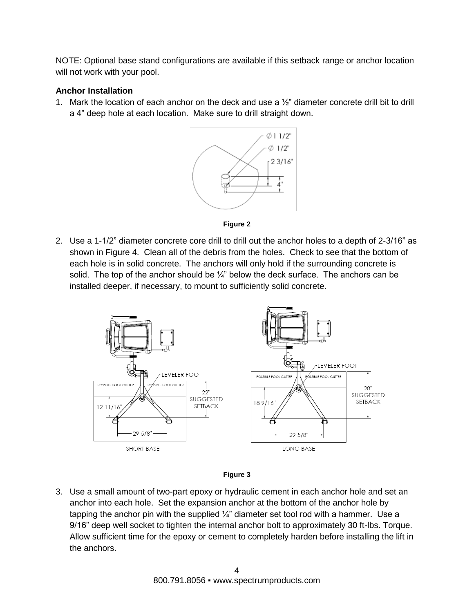NOTE: Optional base stand configurations are available if this setback range or anchor location will not work with your pool.

#### **Anchor Installation**

1. Mark the location of each anchor on the deck and use a  $\frac{1}{2}$  diameter concrete drill bit to drill a 4" deep hole at each location. Make sure to drill straight down.





2. Use a 1-1/2" diameter concrete core drill to drill out the anchor holes to a depth of 2-3/16" as shown in Figure 4. Clean all of the debris from the holes. Check to see that the bottom of each hole is in solid concrete. The anchors will only hold if the surrounding concrete is solid. The top of the anchor should be  $\frac{1}{4}$ " below the deck surface. The anchors can be installed deeper, if necessary, to mount to sufficiently solid concrete.





3. Use a small amount of two-part epoxy or hydraulic cement in each anchor hole and set an anchor into each hole. Set the expansion anchor at the bottom of the anchor hole by tapping the anchor pin with the supplied  $\frac{1}{4}$ " diameter set tool rod with a hammer. Use a 9/16" deep well socket to tighten the internal anchor bolt to approximately 30 ft-lbs. Torque. Allow sufficient time for the epoxy or cement to completely harden before installing the lift in the anchors.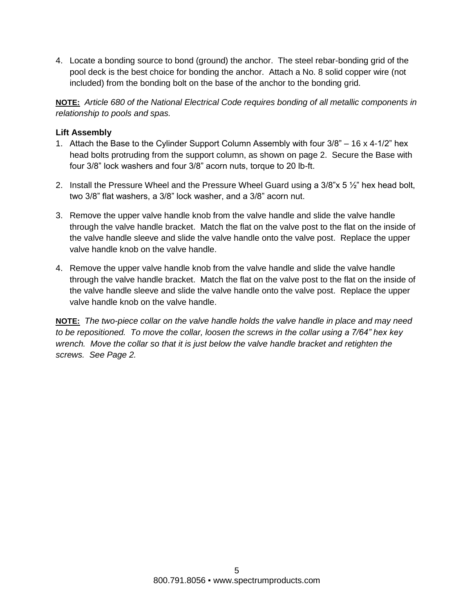4. Locate a bonding source to bond (ground) the anchor. The steel rebar-bonding grid of the pool deck is the best choice for bonding the anchor. Attach a No. 8 solid copper wire (not included) from the bonding bolt on the base of the anchor to the bonding grid.

**NOTE:** *Article 680 of the National Electrical Code requires bonding of all metallic components in relationship to pools and spas.*

#### **Lift Assembly**

- 1. Attach the Base to the Cylinder Support Column Assembly with four 3/8" 16 x 4-1/2" hex head bolts protruding from the support column, as shown on page 2. Secure the Base with four 3/8" lock washers and four 3/8" acorn nuts, torque to 20 lb-ft.
- 2. Install the Pressure Wheel and the Pressure Wheel Guard using a 3/8"x 5 ½" hex head bolt, two 3/8" flat washers, a 3/8" lock washer, and a 3/8" acorn nut.
- 3. Remove the upper valve handle knob from the valve handle and slide the valve handle through the valve handle bracket. Match the flat on the valve post to the flat on the inside of the valve handle sleeve and slide the valve handle onto the valve post. Replace the upper valve handle knob on the valve handle.
- 4. Remove the upper valve handle knob from the valve handle and slide the valve handle through the valve handle bracket. Match the flat on the valve post to the flat on the inside of the valve handle sleeve and slide the valve handle onto the valve post. Replace the upper valve handle knob on the valve handle.

**NOTE:** *The two-piece collar on the valve handle holds the valve handle in place and may need to be repositioned. To move the collar, loosen the screws in the collar using a 7/64" hex key wrench. Move the collar so that it is just below the valve handle bracket and retighten the screws. See Page 2.*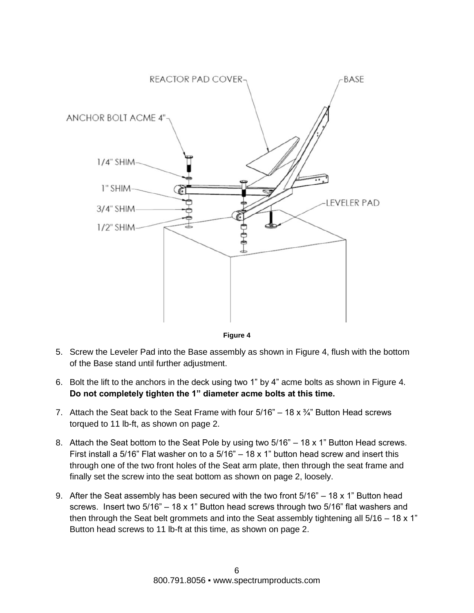



- 5. Screw the Leveler Pad into the Base assembly as shown in Figure 4, flush with the bottom of the Base stand until further adjustment.
- 6. Bolt the lift to the anchors in the deck using two 1" by 4" acme bolts as shown in Figure 4. **Do not completely tighten the 1" diameter acme bolts at this time.**
- 7. Attach the Seat back to the Seat Frame with four  $5/16" 18 \times \frac{3}{4}$ " Button Head screws torqued to 11 lb-ft, as shown on page 2.
- 8. Attach the Seat bottom to the Seat Pole by using two 5/16" 18 x 1" Button Head screws. First install a 5/16" Flat washer on to a  $5/16" - 18 \times 1"$  button head screw and insert this through one of the two front holes of the Seat arm plate, then through the seat frame and finally set the screw into the seat bottom as shown on page 2, loosely.
- 9. After the Seat assembly has been secured with the two front 5/16" 18 x 1" Button head screws. Insert two 5/16" – 18 x 1" Button head screws through two 5/16" flat washers and then through the Seat belt grommets and into the Seat assembly tightening all 5/16 – 18 x 1" Button head screws to 11 lb-ft at this time, as shown on page 2.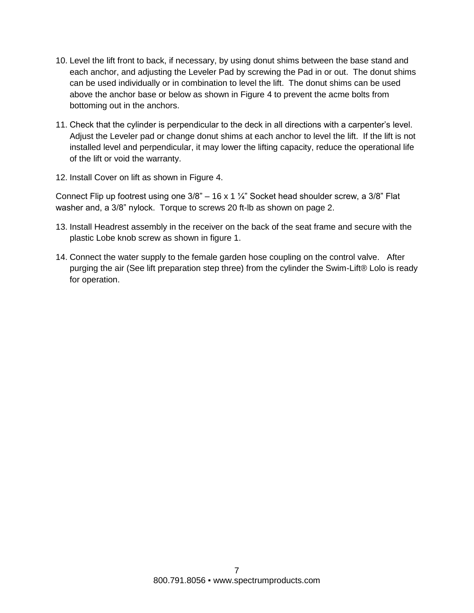- 10. Level the lift front to back, if necessary, by using donut shims between the base stand and each anchor, and adjusting the Leveler Pad by screwing the Pad in or out. The donut shims can be used individually or in combination to level the lift. The donut shims can be used above the anchor base or below as shown in Figure 4 to prevent the acme bolts from bottoming out in the anchors.
- 11. Check that the cylinder is perpendicular to the deck in all directions with a carpenter's level. Adjust the Leveler pad or change donut shims at each anchor to level the lift. If the lift is not installed level and perpendicular, it may lower the lifting capacity, reduce the operational life of the lift or void the warranty.
- 12. Install Cover on lift as shown in Figure 4.

Connect Flip up footrest using one  $3/8$ " – 16 x 1  $\frac{1}{4}$ " Socket head shoulder screw, a  $3/8$ " Flat washer and, a 3/8" nylock. Torque to screws 20 ft-lb as shown on page 2.

- 13. Install Headrest assembly in the receiver on the back of the seat frame and secure with the plastic Lobe knob screw as shown in figure 1.
- 14. Connect the water supply to the female garden hose coupling on the control valve. After purging the air (See lift preparation step three) from the cylinder the Swim-Lift® Lolo is ready for operation.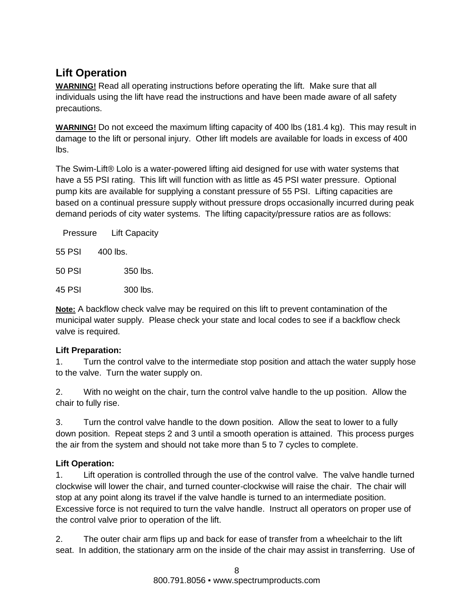# **Lift Operation**

**WARNING!** Read all operating instructions before operating the lift. Make sure that all individuals using the lift have read the instructions and have been made aware of all safety precautions.

**WARNING!** Do not exceed the maximum lifting capacity of 400 lbs (181.4 kg). This may result in damage to the lift or personal injury. Other lift models are available for loads in excess of 400 lbs.

The Swim-Lift® Lolo is a water-powered lifting aid designed for use with water systems that have a 55 PSI rating. This lift will function with as little as 45 PSI water pressure. Optional pump kits are available for supplying a constant pressure of 55 PSI. Lifting capacities are based on a continual pressure supply without pressure drops occasionally incurred during peak demand periods of city water systems. The lifting capacity/pressure ratios are as follows:

| Pressure | <b>Lift Capacity</b> |
|----------|----------------------|
| 55 PSI   | 400 lbs.             |
| 50 PSI   | 350 lbs.             |
| 45 PSI   | $300$ lbs.           |

**Note:** A backflow check valve may be required on this lift to prevent contamination of the municipal water supply. Please check your state and local codes to see if a backflow check valve is required.

#### **Lift Preparation:**

1. Turn the control valve to the intermediate stop position and attach the water supply hose to the valve. Turn the water supply on.

2. With no weight on the chair, turn the control valve handle to the up position. Allow the chair to fully rise.

3. Turn the control valve handle to the down position. Allow the seat to lower to a fully down position. Repeat steps 2 and 3 until a smooth operation is attained. This process purges the air from the system and should not take more than 5 to 7 cycles to complete.

#### **Lift Operation:**

1. Lift operation is controlled through the use of the control valve. The valve handle turned clockwise will lower the chair, and turned counter-clockwise will raise the chair. The chair will stop at any point along its travel if the valve handle is turned to an intermediate position. Excessive force is not required to turn the valve handle. Instruct all operators on proper use of the control valve prior to operation of the lift.

2. The outer chair arm flips up and back for ease of transfer from a wheelchair to the lift seat. In addition, the stationary arm on the inside of the chair may assist in transferring. Use of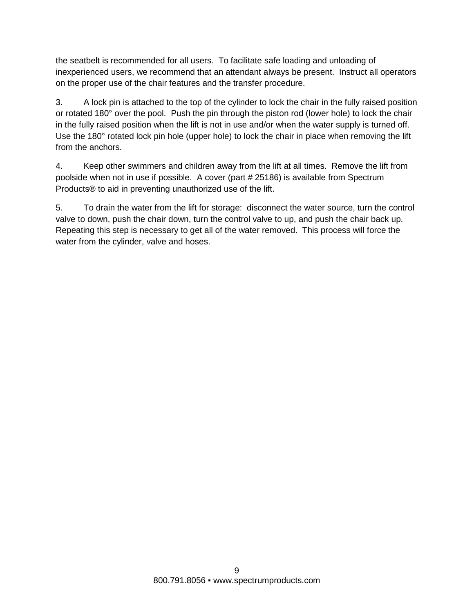the seatbelt is recommended for all users. To facilitate safe loading and unloading of inexperienced users, we recommend that an attendant always be present. Instruct all operators on the proper use of the chair features and the transfer procedure.

3. A lock pin is attached to the top of the cylinder to lock the chair in the fully raised position or rotated 180° over the pool. Push the pin through the piston rod (lower hole) to lock the chair in the fully raised position when the lift is not in use and/or when the water supply is turned off. Use the 180° rotated lock pin hole (upper hole) to lock the chair in place when removing the lift from the anchors.

4. Keep other swimmers and children away from the lift at all times. Remove the lift from poolside when not in use if possible. A cover (part # 25186) is available from Spectrum Products® to aid in preventing unauthorized use of the lift.

5. To drain the water from the lift for storage: disconnect the water source, turn the control valve to down, push the chair down, turn the control valve to up, and push the chair back up. Repeating this step is necessary to get all of the water removed. This process will force the water from the cylinder, valve and hoses.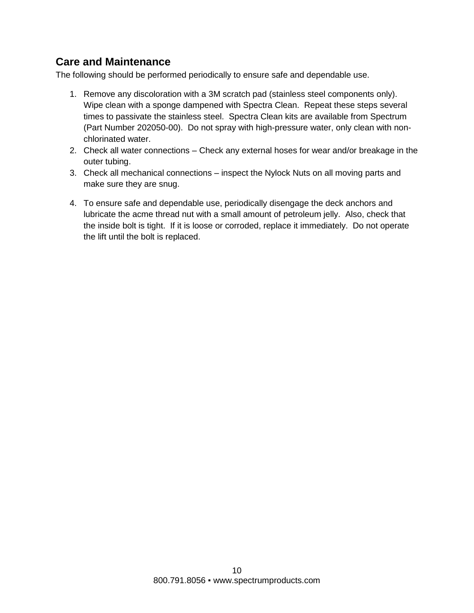## **Care and Maintenance**

The following should be performed periodically to ensure safe and dependable use.

- 1. Remove any discoloration with a 3M scratch pad (stainless steel components only). Wipe clean with a sponge dampened with Spectra Clean. Repeat these steps several times to passivate the stainless steel. Spectra Clean kits are available from Spectrum (Part Number 202050-00). Do not spray with high-pressure water, only clean with nonchlorinated water.
- 2. Check all water connections Check any external hoses for wear and/or breakage in the outer tubing.
- 3. Check all mechanical connections inspect the Nylock Nuts on all moving parts and make sure they are snug.
- 4. To ensure safe and dependable use, periodically disengage the deck anchors and lubricate the acme thread nut with a small amount of petroleum jelly. Also, check that the inside bolt is tight. If it is loose or corroded, replace it immediately. Do not operate the lift until the bolt is replaced.